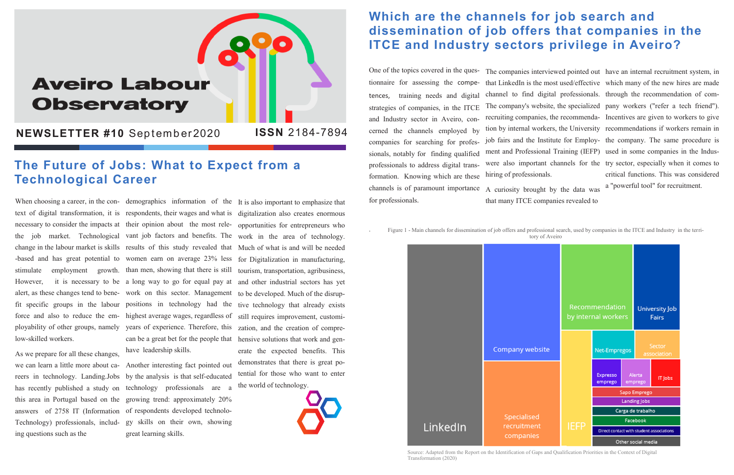# **Aveiro Labour Observatory**

**NEWSLETTER #10 September2020** 

When choosing a career, in the con- demographics information of the It is also important to emphasize that low-skilled workers.

As we prepare for all these changes, we can learn a little more about cahas recently published a study on Technology) professionals, including questions such as the

text of digital transformation, it is respondents, their wages and what is digitalization also creates enormous necessary to consider the impacts at their opinion about the most rele-opportunities for entrepreneurs who the job market. Technological vant job factors and benefits. The work in the area of technology. change in the labour market is skills results of this study revealed that Much of what is and will be needed -based and has great potential to women earn on average 23% less for Digitalization in manufacturing, stimulate employment growth. than men, showing that there is still tourism, transportation, agribusiness, However, it is necessary to be a long way to go for equal pay at and other industrial sectors has yet alert, as these changes tend to bene-work on this sector. Management to be developed. Much of the disrupfit specific groups in the labour positions in technology had the tive technology that already exists force and also to reduce the em- highest average wages, regardless of still requires improvement, customiployability of other groups, namely years of experience. Therefore, this zation, and the creation of comprecan be a great bet for the people that hensive solutions that work and genhave leadership skills.

reers in technology. Landing.Jobs by the analysis is that self-educated this area in Portugal based on the growing trend: approximately 20% answers of 2758 IT (Information of respondents developed technolo-Another interesting fact pointed out technology professionals are a gy skills on their own, showing great learning skills.

erate the expected benefits. This demonstrates that there is great potential for those who want to enter the world of technology.



## **Which are the channels for job search and dissemination of job offers that companies in the ITCE and Industry sectors privilege in Aveiro?**

tences, training needs and digital and Industry sector in Aveiro, concerned the channels employed by sionals, notably for finding qualified professionals to address digital transformation. Knowing which are these channels is of paramount importance for professionals.

.

### **The Future of Jobs: What to Expect from a Technological Career**

One of the topics covered in the ques-The companies interviewed pointed out have an internal recruitment system, in tionnaire for assessing the compe-that LinkedIn is the most used/effective which many of the new hires are made strategies of companies, in the ITCE The company's website, the specialized pany workers ("refer a tech friend"). companies for searching for profes-job fairs and the Institute for Employ-the company. The same procedure is channel to find digital professionals. through the recommendation of comrecruiting companies, the recommenda-Incentives are given to workers to give tion by internal workers, the University recommendations if workers remain in ment and Professional Training (IEFP) used in some companies in the Induswere also important channels for the try sector, especially when it comes to hiring of professionals. critical functions. This was considered a "powerful tool" for recruitment.

A curiosity brought by the data was that many ITCE companies revealed to

Figure 1 - Main channels for dissemination of job offers and professional search, used by companies in the ITCE and Industry in the territory of Aveiro



Source: Adapted from the Report on the Identification of Gaps and Qualification Priorities in the Context of Digital

Transformation (2020)

**ISSN** 2184-7894